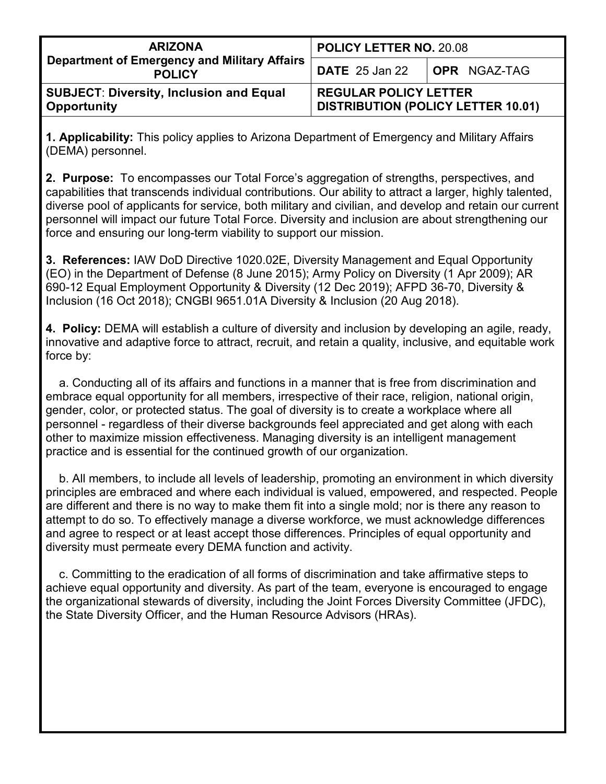| <b>ARIZONA</b><br><b>Department of Emergency and Military Affairs</b><br><b>POLICY</b> | <b>POLICY LETTER NO. 20.08</b>                                            |  |
|----------------------------------------------------------------------------------------|---------------------------------------------------------------------------|--|
|                                                                                        | <b>DATE</b> 25 Jan 22 <b>OPR</b> NGAZ-TAG                                 |  |
| <b>SUBJECT: Diversity, Inclusion and Equal</b><br>Opportunity                          | <b>REGULAR POLICY LETTER</b><br><b>DISTRIBUTION (POLICY LETTER 10.01)</b> |  |

**1. Applicability:** This policy applies to Arizona Department of Emergency and Military Affairs (DEMA) personnel.

**2. Purpose:** To encompasses our Total Force's aggregation of strengths, perspectives, and capabilities that transcends individual contributions. Our ability to attract a larger, highly talented, diverse pool of applicants for service, both military and civilian, and develop and retain our current personnel will impact our future Total Force. Diversity and inclusion are about strengthening our force and ensuring our long-term viability to support our mission.

**3. References:** IAW DoD Directive 1020.02E, Diversity Management and Equal Opportunity (EO) in the Department of Defense (8 June 2015); Army Policy on Diversity (1 Apr 2009); AR 690-12 Equal Employment Opportunity & Diversity (12 Dec 2019); AFPD 36-70, Diversity & Inclusion (16 Oct 2018); CNGBI 9651.01A Diversity & Inclusion (20 Aug 2018).

**4. Policy:** DEMA will establish a culture of diversity and inclusion by developing an agile, ready, innovative and adaptive force to attract, recruit, and retain a quality, inclusive, and equitable work force by:

a. Conducting all of its affairs and functions in a manner that is free from discrimination and embrace equal opportunity for all members, irrespective of their race, religion, national origin, gender, color, or protected status. The goal of diversity is to create a workplace where all personnel - regardless of their diverse backgrounds feel appreciated and get along with each other to maximize mission effectiveness. Managing diversity is an intelligent management practice and is essential for the continued growth of our organization.

 b. All members, to include all levels of leadership, promoting an environment in which diversity principles are embraced and where each individual is valued, empowered, and respected. People are different and there is no way to make them fit into a single mold; nor is there any reason to attempt to do so. To effectively manage a diverse workforce, we must acknowledge differences and agree to respect or at least accept those differences. Principles of equal opportunity and diversity must permeate every DEMA function and activity.

 c. Committing to the eradication of all forms of discrimination and take affirmative steps to achieve equal opportunity and diversity. As part of the team, everyone is encouraged to engage the organizational stewards of diversity, including the Joint Forces Diversity Committee (JFDC), the State Diversity Officer, and the Human Resource Advisors (HRAs).